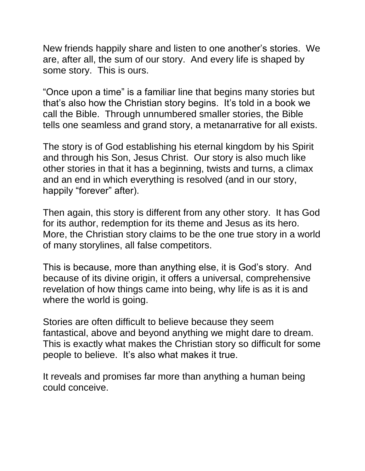New friends happily share and listen to one another's stories. We are, after all, the sum of our story. And every life is shaped by some story. This is ours.

"Once upon a time" is a familiar line that begins many stories but that's also how the Christian story begins. It's told in a book we call the Bible. Through unnumbered smaller stories, the Bible tells one seamless and grand story, a metanarrative for all exists.

The story is of God establishing his eternal kingdom by his Spirit and through his Son, Jesus Christ. Our story is also much like other stories in that it has a beginning, twists and turns, a climax and an end in which everything is resolved (and in our story, happily "forever" after).

Then again, this story is different from any other story. It has God for its author, redemption for its theme and Jesus as its hero. More, the Christian story claims to be the one true story in a world of many storylines, all false competitors.

This is because, more than anything else, it is God's story. And because of its divine origin, it offers a universal, comprehensive revelation of how things came into being, why life is as it is and where the world is going.

Stories are often difficult to believe because they seem fantastical, above and beyond anything we might dare to dream. This is exactly what makes the Christian story so difficult for some people to believe. It's also what makes it true.

It reveals and promises far more than anything a human being could conceive.